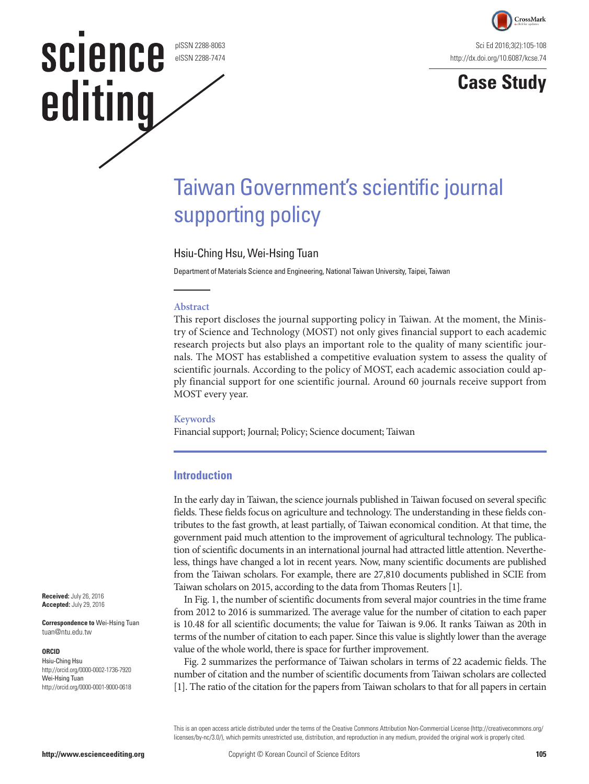pISSN 2288-8063 eISSN 2288-7474

**science** 

editing



**Case Study**

# Taiwan Government's scientific journal supporting policy

### Hsiu-Ching Hsu, Wei-Hsing Tuan

Department of Materials Science and Engineering, National Taiwan University, Taipei, Taiwan

### **Abstract**

This report discloses the journal supporting policy in Taiwan. At the moment, the Ministry of Science and Technology (MOST) not only gives financial support to each academic research projects but also plays an important role to the quality of many scientific journals. The MOST has established a competitive evaluation system to assess the quality of scientific journals. According to the policy of MOST, each academic association could apply financial support for one scientific journal. Around 60 journals receive support from MOST every year.

#### **Keywords**

Financial support; Journal; Policy; Science document; Taiwan

### **Introduction**

In the early day in Taiwan, the science journals published in Taiwan focused on several specific fields. These fields focus on agriculture and technology. The understanding in these fields contributes to the fast growth, at least partially, of Taiwan economical condition. At that time, the government paid much attention to the improvement of agricultural technology. The publication of scientific documents in an international journal had attracted little attention. Nevertheless, things have changed a lot in recent years. Now, many scientific documents are published from the Taiwan scholars. For example, there are 27,810 documents published in SCIE from Taiwan scholars on 2015, according to the data from Thomas Reuters [1].

In Fig. 1, the number of scientific documents from several major countries in the time frame from 2012 to 2016 is summarized. The average value for the number of citation to each paper is 10.48 for all scientific documents; the value for Taiwan is 9.06. It ranks Taiwan as 20th in terms of the number of citation to each paper. Since this value is slightly lower than the average value of the whole world, there is space for further improvement.

Fig. 2 summarizes the performance of Taiwan scholars in terms of 22 academic fields. The number of citation and the number of scientific documents from Taiwan scholars are collected [1]. The ratio of the citation for the papers from Taiwan scholars to that for all papers in certain

This is an open access article distributed under the terms of the Creative Commons Attribution Non-Commercial License ([http://creativecommons.org/](http://creativecommons.org/licenses/by-nc/3.0/) [licenses/by-nc/3.0/](http://creativecommons.org/licenses/by-nc/3.0/)), which permits unrestricted use, distribution, and reproduction in any medium, provided the original work is properly cited.

**Received:** July 26, 2016 **Accepted:** July 29, 2016

**Correspondence to** Wei-Hsing Tuan tuan@ntu.edu.tw

### **ORCID**

Hsiu-Ching Hsu http://orcid.org/0000-0002-1736-7920 Wei-Hsing Tuan http://orcid.org/0000-0001-9000-0618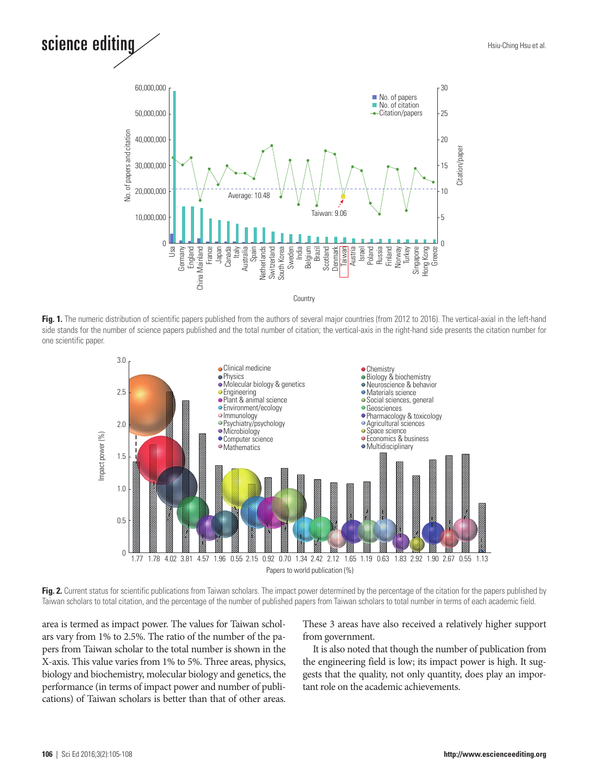# science editing



**Fig. 1.** The numeric distribution of scientific papers published from the authors of several major countries (from 2012 to 2016). The vertical-axial in the left-hand side stands for the number of science papers published and the total number of citation; the vertical-axis in the right-hand side presents the citation number for one scientific paper.



**Fig. 2.** Current status for scientific publications from Taiwan scholars. The impact power determined by the percentage of the citation for the papers published by Taiwan scholars to total citation, and the percentage of the number of published papers from Taiwan scholars to total number in terms of each academic field.

area is termed as impact power. The values for Taiwan scholars vary from 1% to 2.5%. The ratio of the number of the papers from Taiwan scholar to the total number is shown in the X-axis. This value varies from 1% to 5%. Three areas, physics, biology and biochemistry, molecular biology and genetics, the performance (in terms of impact power and number of publications) of Taiwan scholars is better than that of other areas.

These 3 areas have also received a relatively higher support from government.

It is also noted that though the number of publication from the engineering field is low; its impact power is high. It suggests that the quality, not only quantity, does play an important role on the academic achievements.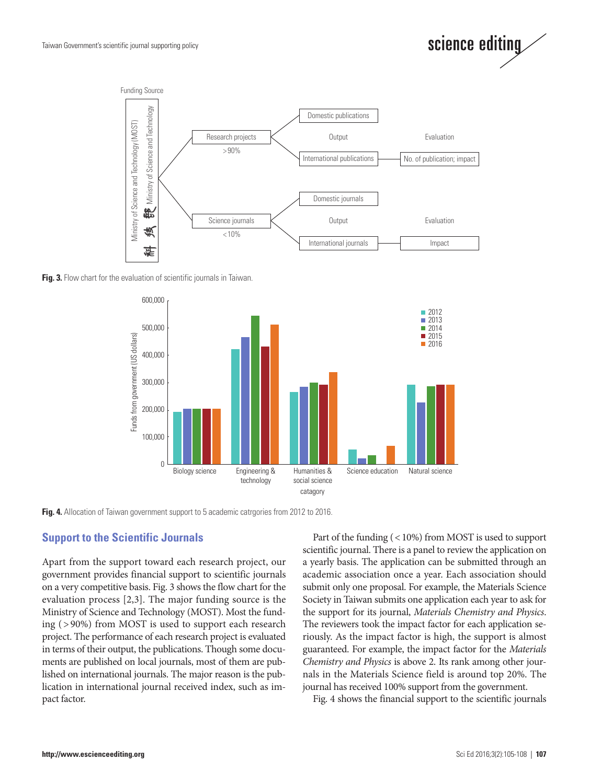



**Fig. 3.** Flow chart for the evaluation of scientific journals in Taiwan.



Fig. 4. Allocation of Taiwan government support to 5 academic catrgories from 2012 to 2016.

## **Support to the Scientific Journals**

Apart from the support toward each research project, our government provides financial support to scientific journals on a very competitive basis. Fig. 3 shows the flow chart for the evaluation process [2,3]. The major funding source is the Ministry of Science and Technology (MOST). Most the funding ( > 90%) from MOST is used to support each research project. The performance of each research project is evaluated in terms of their output, the publications. Though some documents are published on local journals, most of them are published on international journals. The major reason is the publication in international journal received index, such as impact factor.

Part of the funding (< 10%) from MOST is used to support scientific journal. There is a panel to review the application on a yearly basis. The application can be submitted through an academic association once a year. Each association should submit only one proposal. For example, the Materials Science Society in Taiwan submits one application each year to ask for the support for its journal, *Materials Chemistry and Physics*. The reviewers took the impact factor for each application seriously. As the impact factor is high, the support is almost guaranteed. For example, the impact factor for the *Materials Chemistry and Physics* is above 2. Its rank among other journals in the Materials Science field is around top 20%. The journal has received 100% support from the government.

Fig. 4 shows the financial support to the scientific journals